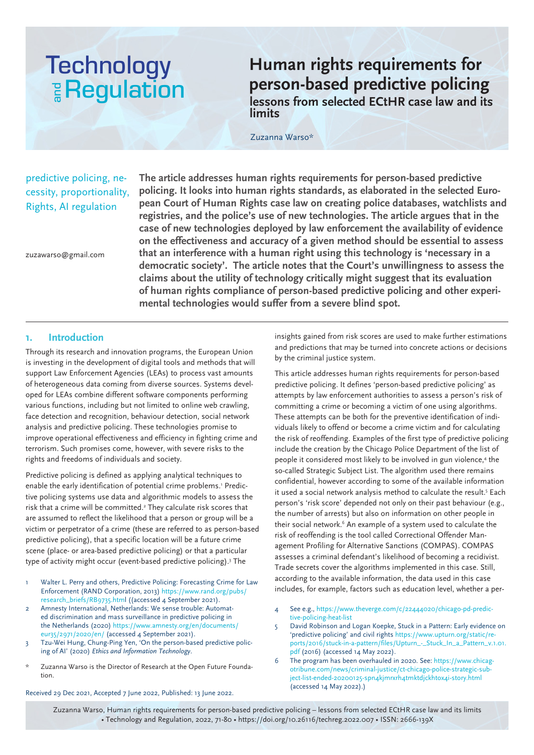# **Technology E** Regulation

**Human rights requirements for person-based predictive policing lessons from selected ECtHR case law and its limits**

Zuzanna Warso\*

## predictive policing, necessity, proportionality, Rights, AI regulation

**The article addresses human rights requirements for person-based predictive policing. It looks into human rights standards, as elaborated in the selected European Court of Human Rights case law on creating police databases, watchlists and registries, and the police's use of new technologies. The article argues that in the case of new technologies deployed by law enforcement the availability of evidence on the effectiveness and accuracy of a given method should be essential to assess that an interference with a human right using this technology is 'necessary in a democratic society'. The article notes that the Court's unwillingness to assess the claims about the utility of technology critically might suggest that its evaluation of human rights compliance of person-based predictive policing and other experimental technologies would suffer from a severe blind spot.** 

zuzawarso@gmail.com

## **1. Introduction**

Through its research and innovation programs, the European Union is investing in the development of digital tools and methods that will support Law Enforcement Agencies (LEAs) to process vast amounts of heterogeneous data coming from diverse sources. Systems developed for LEAs combine different software components performing various functions, including but not limited to online web crawling, face detection and recognition, behaviour detection, social network analysis and predictive policing. These technologies promise to improve operational effectiveness and efficiency in fighting crime and terrorism. Such promises come, however, with severe risks to the rights and freedoms of individuals and society.

Predictive policing is defined as applying analytical techniques to enable the early identification of potential crime problems.1 Predictive policing systems use data and algorithmic models to assess the risk that a crime will be committed.<sup>2</sup> They calculate risk scores that are assumed to reflect the likelihood that a person or group will be a victim or perpetrator of a crime (these are referred to as person-based predictive policing), that a specific location will be a future crime scene (place- or area-based predictive policing) or that a particular type of activity might occur (event-based predictive policing).3 The

- Walter L. Perry and others, Predictive Policing: Forecasting Crime for Law Enforcement (RAND Corporation, 2013) https://www.rand.org/pubs/ research\_briefs/RB9735.html ((accessed 4 September 2021).
- 2 Amnesty International, Netherlands: We sense trouble: Automated discrimination and mass surveillance in predictive policing in the Netherlands (2020) https://www.amnesty.org/en/documents/ eur35/2971/2020/en/ (accessed 4 September 2021).
- 3 Tzu-Wei Hung, Chung-Ping Yen, 'On the person-based predictive policing of AI' (2020) *Ethics and Information Technology*.
- \* Zuzanna Warso is the Director of Research at the Open Future Foundation.

Received 29 Dec 2021, Accepted 7 June 2022, Published: 13 June 2022.

insights gained from risk scores are used to make further estimations and predictions that may be turned into concrete actions or decisions by the criminal justice system.

This article addresses human rights requirements for person-based predictive policing. It defines 'person-based predictive policing' as attempts by law enforcement authorities to assess a person's risk of committing a crime or becoming a victim of one using algorithms. These attempts can be both for the preventive identification of individuals likely to offend or become a crime victim and for calculating the risk of reoffending. Examples of the first type of predictive policing include the creation by the Chicago Police Department of the list of people it considered most likely to be involved in gun violence,<sup>4</sup> the so-called Strategic Subject List. The algorithm used there remains confidential, however according to some of the available information it used a social network analysis method to calculate the result.<sup>5</sup> Each person's 'risk score' depended not only on their past behaviour (e.g., the number of arrests) but also on information on other people in their social network.<sup>6</sup> An example of a system used to calculate the risk of reoffending is the tool called Correctional Offender Management Profiling for Alternative Sanctions (COMPAS). COMPAS assesses a criminal defendant's likelihood of becoming a recidivist. Trade secrets cover the algorithms implemented in this case. Still, according to the available information, the data used in this case includes, for example, factors such as education level, whether a per-

- 4 See e.g., https://www.theverge.com/c/22444020/chicago-pd-predictive-policing-heat-list
- 5 David Robinson and Logan Koepke, Stuck in a Pattern: Early evidence on 'predictive policing' and civil rights https://www.upturn.org/static/reports/2016/stuck-in-a-pattern/files/Upturn\_-\_Stuck\_In\_a\_Pattern\_v.1.01. pdf (2016) (accessed 14 May 2022).
- 6 The program has been overhauled in 2020. See: https://www.chicagotribune.com/news/criminal-justice/ct-chicago-police-strategic-subject-list-ended-20200125-spn4kjmrxrh4tmktdjckhtox4i-story.html (accessed 14 May 2022).)

Zuzanna Warso, Human rights requirements for person-based predictive policing – lessons from selected ECtHR case law and its limits • Technology and Regulation, 2022, 71-80 • https://doi.org/10.26116/techreg.2022.007 • ISSN: 2666-139X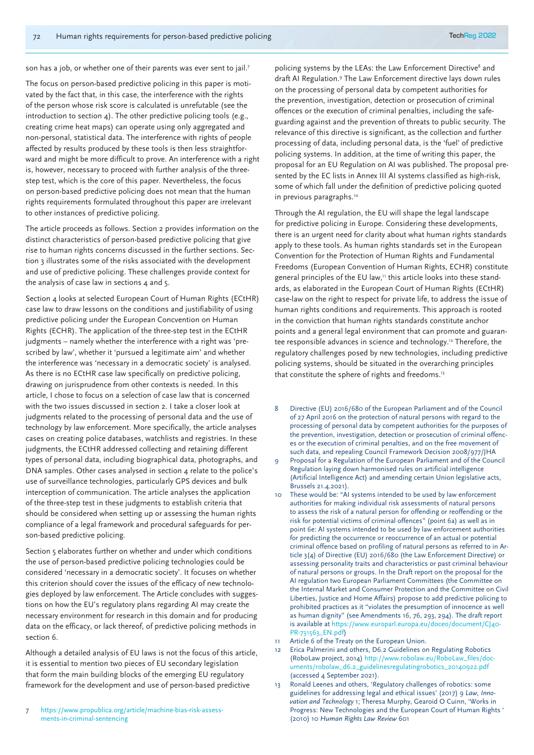son has a job, or whether one of their parents was ever sent to jail.<sup>7</sup>

The focus on person-based predictive policing in this paper is motivated by the fact that, in this case, the interference with the rights of the person whose risk score is calculated is unrefutable (see the introduction to section 4). The other predictive policing tools (e.g., creating crime heat maps) can operate using only aggregated and non-personal, statistical data. The interference with rights of people affected by results produced by these tools is then less straightforward and might be more difficult to prove. An interference with a right is, however, necessary to proceed with further analysis of the threestep test, which is the core of this paper. Nevertheless, the focus on person-based predictive policing does not mean that the human rights requirements formulated throughout this paper are irrelevant to other instances of predictive policing.

The article proceeds as follows. Section 2 provides information on the distinct characteristics of person-based predictive policing that give rise to human rights concerns discussed in the further sections. Section 3 illustrates some of the risks associated with the development and use of predictive policing. These challenges provide context for the analysis of case law in sections 4 and 5.

Section 4 looks at selected European Court of Human Rights (ECtHR) case law to draw lessons on the conditions and justifiability of using predictive policing under the European Concvention on Human Rights (ECHR). The application of the three-step test in the ECtHR judgments – namely whether the interference with a right was 'prescribed by law', whether it 'pursued a legitimate aim' and whether the interference was 'necessary in a democratic society' is analysed. As there is no ECtHR case law specifically on predictive policing, drawing on jurisprudence from other contexts is needed. In this article, I chose to focus on a selection of case law that is concerned with the two issues discussed in section 2. I take a closer look at judgments related to the processing of personal data and the use of technology by law enforcement. More specifically, the article analyses cases on creating police databases, watchlists and registries. In these judgments, the ECtHR addressed collecting and retaining different types of personal data, including biographical data, photographs, and DNA samples. Other cases analysed in section 4 relate to the police's use of surveillance technologies, particularly GPS devices and bulk interception of communication. The article analyses the application of the three-step test in these judgments to establish criteria that should be considered when setting up or assessing the human rights compliance of a legal framework and procedural safeguards for person-based predictive policing.

Section 5 elaborates further on whether and under which conditions the use of person-based predictive policing technologies could be considered 'necessary in a democratic society'. It focuses on whether this criterion should cover the issues of the efficacy of new technologies deployed by law enforcement. The Article concludes with suggestions on how the EU's regulatory plans regarding AI may create the necessary environment for research in this domain and for producing data on the efficacy, or lack thereof, of predictive policing methods in section 6.

Although a detailed analysis of EU laws is not the focus of this article, it is essential to mention two pieces of EU secondary legislation that form the main building blocks of the emerging EU regulatory framework for the development and use of person-based predictive

7 https://www.propublica.org/article/machine-bias-risk-assessments-in-criminal-sentencing

policing systems by the LEAs: the Law Enforcement Directive<sup>8</sup> and draft AI Regulation.<sup>9</sup> The Law Enforcement directive lays down rules on the processing of personal data by competent authorities for the prevention, investigation, detection or prosecution of criminal offences or the execution of criminal penalties, including the safeguarding against and the prevention of threats to public security. The relevance of this directive is significant, as the collection and further processing of data, including personal data, is the 'fuel' of predictive policing systems. In addition, at the time of writing this paper, the proposal for an EU Regulation on AI was published. The proposal presented by the EC lists in Annex III AI systems classified as high-risk, some of which fall under the definition of predictive policing quoted in previous paragraphs.<sup>10</sup>

Through the AI regulation, the EU will shape the legal landscape for predictive policing in Europe. Considering these developments, there is an urgent need for clarity about what human rights standards apply to these tools. As human rights standards set in the European Convention for the Protection of Human Rights and Fundamental Freedoms (European Convention of Human Rights, ECHR) constitute general principles of the EU law," this article looks into these standards, as elaborated in the European Court of Human Rights (ECtHR) case-law on the right to respect for private life, to address the issue of human rights conditions and requirements. This approach is rooted in the conviction that human rights standards constitute anchor points and a general legal environment that can promote and guarantee responsible advances in science and technology.<sup>12</sup> Therefore, the regulatory challenges posed by new technologies, including predictive policing systems, should be situated in the overarching principles that constitute the sphere of rights and freedoms.<sup>13</sup>

- 8 Directive (EU) 2016/680 of the European Parliament and of the Council of 27 April 2016 on the protection of natural persons with regard to the processing of personal data by competent authorities for the purposes of the prevention, investigation, detection or prosecution of criminal offences or the execution of criminal penalties, and on the free movement of such data, and repealing Council Framework Decision 2008/977/JHA
- 9 Proposal for a Regulation of the European Parliament and of the Council Regulation laying down harmonised rules on artificial intelligence (Artificial Intelligence Act) and amending certain Union legislative acts, Brussels 21.4.2021).
- 10 These would be: "AI systems intended to be used by law enforcement authorities for making individual risk assessments of natural persons to assess the risk of a natural person for offending or reoffending or the risk for potential victims of criminal offences" (point 6a) as well as in point 6e: AI systems intended to be used by law enforcement authorities for predicting the occurrence or reoccurrence of an actual or potential criminal offence based on profiling of natural persons as referred to in Article 3(4) of Directive (EU) 2016/680 (the Law Enforcement Directive) or assessing personality traits and characteristics or past criminal behaviour of natural persons or groups. In the Draft report on the proposal for the AI regulation two European Parliament Committees (the Committee on the Internal Market and Consumer Protection and the Committee on Civil Liberties, Justice and Home Affairs) propose to add predictive policing to prohibited practices as it "violates the presumption of innocence as well as human dignity" (see Amendments 16, 76, 293, 294). The draft report is available at https://www.europarl.europa.eu/doceo/document/CJ40- PR-731563\_EN.pdf)
- 11 Article 6 of the Treaty on the European Union.
- 12 Erica Palmerini and others, D6.2 Guidelines on Regulating Robotics (RoboLaw project, 2014) http://www.robolaw.eu/RoboLaw\_files/documents/robolaw\_d6.2\_guidelinesregulatingrobotics\_20140922.pdf (accessed 4 September 2021).
- 13 Ronald Leenes and others, 'Regulatory challenges of robotics: some guidelines for addressing legal and ethical issues' (2017) 9 *Law, Innovation and Technology* 1; Theresa Murphy, Gearoid O Cuinn, 'Works in Progress: New Technologies and the European Court of Human Rights ' (2010) 10 *Human Rights Law Review* 601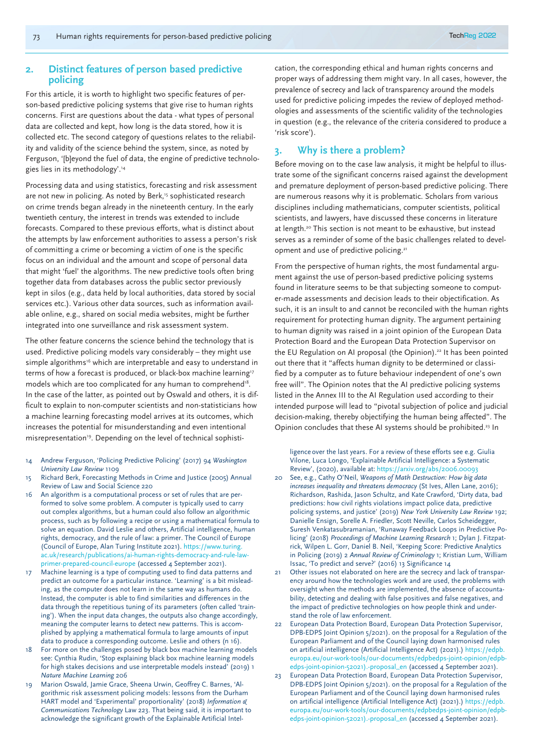## **2. Distinct features of person based predictive policing**

For this article, it is worth to highlight two specific features of person-based predictive policing systems that give rise to human rights concerns. First are questions about the data - what types of personal data are collected and kept, how long is the data stored, how it is collected etc. The second category of questions relates to the reliability and validity of the science behind the system, since, as noted by Ferguson, '[b]eyond the fuel of data, the engine of predictive technologies lies in its methodology'.14

Processing data and using statistics, forecasting and risk assessment are not new in policing. As noted by Berk,<sup>15</sup> sophisticated research on crime trends began already in the nineteenth century. In the early twentieth century, the interest in trends was extended to include forecasts. Compared to these previous efforts, what is distinct about the attempts by law enforcement authorities to assess a person's risk of committing a crime or becoming a victim of one is the specific focus on an individual and the amount and scope of personal data that might 'fuel' the algorithms. The new predictive tools often bring together data from databases across the public sector previously kept in silos (e.g., data held by local authorities, data stored by social services etc.). Various other data sources, such as information available online, e.g., shared on social media websites, might be further integrated into one surveillance and risk assessment system.

The other feature concerns the science behind the technology that is used. Predictive policing models vary considerably – they might use simple algorithms<sup>16</sup> which are interpretable and easy to understand in terms of how a forecast is produced, or black-box machine learning<sup>17</sup> models which are too complicated for any human to comprehend<sup>18</sup>. In the case of the latter, as pointed out by Oswald and others, it is difficult to explain to non-computer scientists and non-statisticians how a machine learning forecasting model arrives at its outcomes, which increases the potential for misunderstanding and even intentional misrepresentation<sup>19</sup>. Depending on the level of technical sophisti-

- 14 Andrew Ferguson, 'Policing Predictive Policing' (2017) 94 *Washington University Law Review* 1109
- 15 Richard Berk, Forecasting Methods in Crime and Justice (2005) Annual Review of Law and Social Science 220
- 16 An algorithm is a computational process or set of rules that are performed to solve some problem. A computer is typically used to carry out complex algorithms, but a human could also follow an algorithmic process, such as by following a recipe or using a mathematical formula to solve an equation. David Leslie and others, Artificial intelligence, human rights, democracy, and the rule of law: a primer. The Council of Europe (Council of Europe, Alan Turing Institute 2021). https://www.turing. ac.uk/research/publications/ai-human-rights-democracy-and-rule-lawprimer-prepared-council-europe (accessed 4 September 2021).
- 17 Machine learning is a type of computing used to find data patterns and predict an outcome for a particular instance. 'Learning' is a bit misleading, as the computer does not learn in the same way as humans do. Instead, the computer is able to find similarities and differences in the data through the repetitious tuning of its parameters (often called 'training'). When the input data changes, the outputs also change accordingly, meaning the computer learns to detect new patterns. This is accomplished by applying a mathematical formula to large amounts of input data to produce a corresponding outcome. Leslie and others (n 16).
- 18 For more on the challenges posed by black box machine learning models see: Cynthia Rudin, 'Stop explaining black box machine learning models for high stakes decisions and use interpretable models instead' (2019) 1 *Nature Machine Learning* 206
- 19 Marion Oswald, Jamie Grace, Sheena Urwin, Geoffrey C. Barnes, 'Algorithmic risk assessment policing models: lessons from the Durham HART model and 'Experimental' proportionality' (2018) *Information & Communications Technology* Law 223. That being said, it is important to acknowledge the significant growth of the Explainable Artificial Intel-

cation, the corresponding ethical and human rights concerns and proper ways of addressing them might vary. In all cases, however, the prevalence of secrecy and lack of transparency around the models used for predictive policing impedes the review of deployed methodologies and assessments of the scientific validity of the technologies in question (e.g., the relevance of the criteria considered to produce a 'risk score').

## **3. Why is there a problem?**

Before moving on to the case law analysis, it might be helpful to illustrate some of the significant concerns raised against the development and premature deployment of person-based predictive policing. There are numerous reasons why it is problematic. Scholars from various disciplines including mathematicians, computer scientists, political scientists, and lawyers, have discussed these concerns in literature at length.<sup>20</sup> This section is not meant to be exhaustive, but instead serves as a reminder of some of the basic challenges related to development and use of predictive policing.21

From the perspective of human rights, the most fundamental argument against the use of person-based predictive policing systems found in literature seems to be that subjecting someone to computer-made assessments and decision leads to their objectification. As such, it is an insult to and cannot be reconciled with the human rights requirement for protecting human dignity. The argument pertaining to human dignity was raised in a joint opinion of the European Data Protection Board and the European Data Protection Supervisor on the EU Regulation on AI proposal (the Opinion).<sup>22</sup> It has been pointed out there that it "affects human dignity to be determined or classified by a computer as to future behaviour independent of one's own free will". The Opinion notes that the AI predictive policing systems listed in the Annex III to the AI Regulation used according to their intended purpose will lead to "pivotal subjection of police and judicial decision-making, thereby objectifying the human being affected". The Opinion concludes that these AI systems should be prohibited.23 In

ligence over the last years. For a review of these efforts see e.g. Giulia Vilone, Luca Longo, 'Explainable Artificial Intelligence: a Systematic Review', (2020), available at: https://arxiv.org/abs/2006.00093

- 20 See, e.g., Cathy O'Neil, *Weapons of Math Destruction: How big data increases inequality and threatens democracy* (St Ives, Allen Lane, 2016); Richardson, Rashida, Jason Schultz, and Kate Crawford, 'Dirty data, bad predictions: how civil rights violations impact police data, predictive policing systems, and justice' (2019) *New York University Law Review* 192; Danielle Ensign, Sorelle A. Friedler, Scott Neville, Carlos Scheidegger, Suresh Venkatasubramanian, 'Runaway Feedback Loops in Predictive Policing' (2018) *Proceedings of Machine Learning Research* 1; Dylan J. Fitzpatrick, Wilpen L. Gorr, Daniel B. Neil, 'Keeping Score: Predictive Analytics in Policing (2019) 2 *Annual Review of Criminology* 1; Kristian Lum, William Issac, 'To predict and serve?' (2016) 13 Significance 14
- 21 Other issues not elaborated on here are the secrecy and lack of transparency around how the technologies work and are used, the problems with oversight when the methods are implemented, the absence of accountability, detecting and dealing with false positives and false negatives, and the impact of predictive technologies on how people think and understand the role of law enforcement.
- 22 European Data Protection Board, European Data Protection Supervisor, DPB-EDPS Joint Opinion 5/2021). on the proposal for a Regulation of the European Parliament and of the Council laying down harmonised rules on artificial intelligence (Artificial Intelligence Act) (2021).) https://edpb. europa.eu/our-work-tools/our-documents/edpbedps-joint-opinion/edpbedps-joint-opinion-52021).-proposal\_en (accessed 4 September 2021).
- 23 European Data Protection Board, European Data Protection Supervisor, DPB-EDPS Joint Opinion 5/2021). on the proposal for a Regulation of the European Parliament and of the Council laying down harmonised rules on artificial intelligence (Artificial Intelligence Act) (2021).) https://edpb. europa.eu/our-work-tools/our-documents/edpbedps-joint-opinion/edpbedps-joint-opinion-52021).-proposal\_en (accessed 4 September 2021).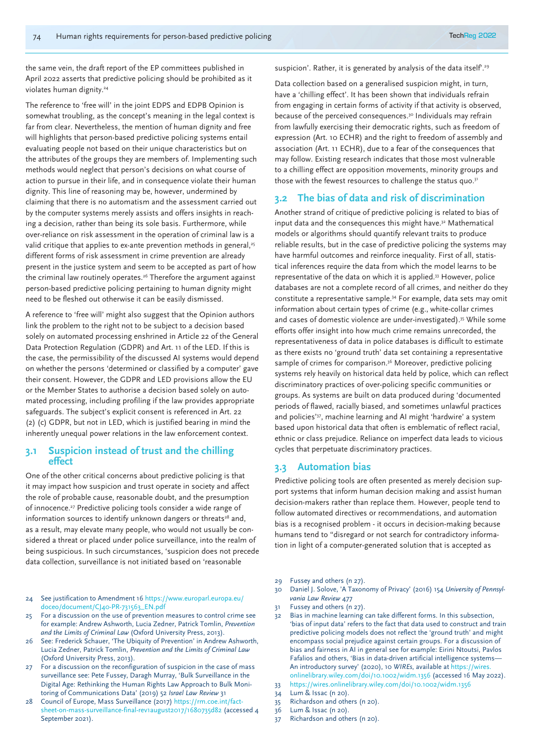the same vein, the draft report of the EP committees published in April 2022 asserts that predictive policing should be prohibited as it violates human dignity.<sup>24</sup>

The reference to 'free will' in the joint EDPS and EDPB Opinion is somewhat troubling, as the concept's meaning in the legal context is far from clear. Nevertheless, the mention of human dignity and free will highlights that person-based predictive policing systems entail evaluating people not based on their unique characteristics but on the attributes of the groups they are members of. Implementing such methods would neglect that person's decisions on what course of action to pursue in their life, and in consequence violate their human dignity. This line of reasoning may be, however, undermined by claiming that there is no automatism and the assessment carried out by the computer systems merely assists and offers insights in reaching a decision, rather than being its sole basis. Furthermore, while over-reliance on risk assessment in the operation of criminal law is a valid critique that applies to ex-ante prevention methods in general,<sup>25</sup> different forms of risk assessment in crime prevention are already present in the justice system and seem to be accepted as part of how the criminal law routinely operates.<sup>26</sup> Therefore the argument against person-based predictive policing pertaining to human dignity might need to be fleshed out otherwise it can be easily dismissed.

A reference to 'free will' might also suggest that the Opinion authors link the problem to the right not to be subject to a decision based solely on automated processing enshrined in Article 22 of the General Data Protection Regulation (GDPR) and Art. 11 of the LED. If this is the case, the permissibility of the discussed AI systems would depend on whether the persons 'determined or classified by a computer' gave their consent. However, the GDPR and LED provisions allow the EU or the Member States to authorise a decision based solely on automated processing, including profiling if the law provides appropriate safeguards. The subject's explicit consent is referenced in Art. 22 (2) (c) GDPR, but not in LED, which is justified bearing in mind the inherently unequal power relations in the law enforcement context.

## **3.1 Suspicion instead of trust and the chilling effect**

One of the other critical concerns about predictive policing is that it may impact how suspicion and trust operate in society and affect the role of probable cause, reasonable doubt, and the presumption of innocence.27 Predictive policing tools consider a wide range of information sources to identify unknown dangers or threats<sup>28</sup> and, as a result, may elevate many people, who would not usually be considered a threat or placed under police surveillance, into the realm of being suspicious. In such circumstances, 'suspicion does not precede data collection, surveillance is not initiated based on 'reasonable

- 24 See justification to Amendment 16 https://www.europarl.europa.eu/ doceo/document/CJ40-PR-731563\_EN.pdf
- 25 For a discussion on the use of prevention measures to control crime see for example: Andrew Ashworth, Lucia Zedner, Patrick Tomlin, *Prevention and the Limits of Criminal Law* (Oxford University Press, 2013).
- 26 See: Frederick Schauer, 'The Ubiquity of Prevention' in Andrew Ashworth, Lucia Zedner, Patrick Tomlin, *Prevention and the Limits of Criminal Law* (Oxford University Press, 2013).
- 27 For a discussion on the reconfiguration of suspicion in the case of mass surveillance see: Pete Fussey, Daragh Murray, 'Bulk Surveillance in the Digital Age: Rethinking the Human Rights Law Approach to Bulk Monitoring of Communications Data' (2019) 52 *Israel Law Review* 31
- Council of Europe, Mass Surveillance (2017) https://rm.coe.int/factsheet-on-mass-surveillance-final-rev1august2017/1680735d82 (accessed 4 September 2021).

suspicion'. Rather, it is generated by analysis of the data itself<sup>29</sup>

Data collection based on a generalised suspicion might, in turn, have a 'chilling effect'. It has been shown that individuals refrain from engaging in certain forms of activity if that activity is observed, because of the perceived consequences.30 Individuals may refrain from lawfully exercising their democratic rights, such as freedom of expression (Art. 10 ECHR) and the right to freedom of assembly and association (Art. 11 ECHR), due to a fear of the consequences that may follow. Existing research indicates that those most vulnerable to a chilling effect are opposition movements, minority groups and those with the fewest resources to challenge the status quo.<sup>31</sup>

#### **3.2 The bias of data and risk of discrimination**

Another strand of critique of predictive policing is related to bias of input data and the consequences this might have.<sup>32</sup> Mathematical models or algorithms should quantify relevant traits to produce reliable results, but in the case of predictive policing the systems may have harmful outcomes and reinforce inequality. First of all, statistical inferences require the data from which the model learns to be representative of the data on which it is applied.33 However, police databases are not a complete record of all crimes, and neither do they constitute a representative sample.34 For example, data sets may omit information about certain types of crime (e.g., white-collar crimes and cases of domestic violence are under-investigated).35 While some efforts offer insight into how much crime remains unrecorded, the representativeness of data in police databases is difficult to estimate as there exists no 'ground truth' data set containing a representative sample of crimes for comparison.<sup>36</sup> Moreover, predictive policing systems rely heavily on historical data held by police, which can reflect discriminatory practices of over-policing specific communities or groups. As systems are built on data produced during 'documented periods of flawed, racially biased, and sometimes unlawful practices and policies'37, machine learning and AI might 'hardwire' a system based upon historical data that often is emblematic of reflect racial, ethnic or class prejudice. Reliance on imperfect data leads to vicious cycles that perpetuate discriminatory practices.

## **3.3 Automation bias**

Predictive policing tools are often presented as merely decision support systems that inform human decision making and assist human decision-makers rather than replace them. However, people tend to follow automated directives or recommendations, and automation bias is a recognised problem - it occurs in decision-making because humans tend to "disregard or not search for contradictory information in light of a computer-generated solution that is accepted as

- 29 Fussey and others (n 27).
- 30 Daniel J. Solove, 'A Taxonomy of Privacy' (2016) 154 *University of Pennsylvania Law Review* 477
- 31 Fussey and others (n 27).
- 32 Bias in machine learning can take different forms. In this subsection, 'bias of input data' refers to the fact that data used to construct and train predictive policing models does not reflect the 'ground truth' and might encompass social prejudice against certain groups. For a discussion of bias and fairness in AI in general see for example: Eirini Ntoutsi, Pavlos Fafalios and others, 'Bias in data-driven artificial intelligence systems— An introductory survey' (2020), 10 *WIREs*, available at https://wires. onlinelibrary.wiley.com/doi/10.1002/widm.1356 (accessed 16 May 2022). 33 https://wires.onlinelibrary.wiley.com/doi/10.1002/widm.1356
- 
- 34 Lum & Issac (n 20). 35 Richardson and others (n 20).
- 36 Lum & Issac (n 20).
- 37 Richardson and others (n 20).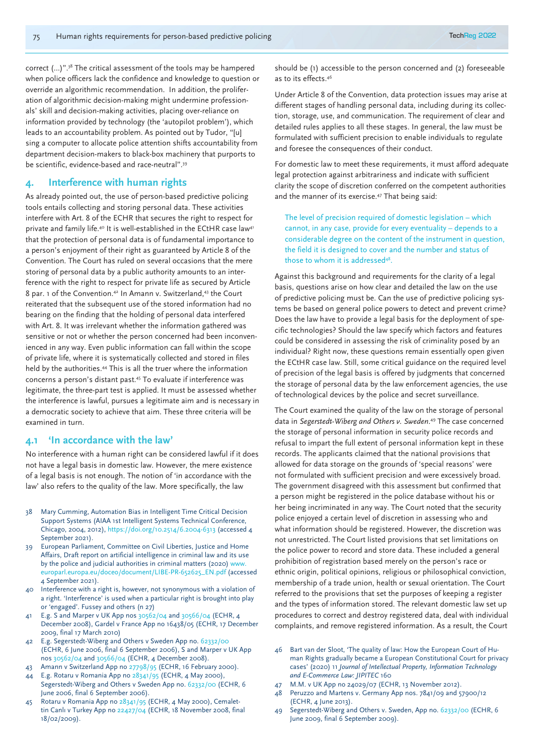correct (…)".38 The critical assessment of the tools may be hampered when police officers lack the confidence and knowledge to question or override an algorithmic recommendation. In addition, the proliferation of algorithmic decision-making might undermine professionals' skill and decision-making activities, placing over-reliance on information provided by technology (the 'autopilot problem'), which leads to an accountability problem. As pointed out by Tudor, "[u] sing a computer to allocate police attention shifts accountability from department decision-makers to black-box machinery that purports to be scientific, evidence-based and race-neutral".39

## **4. Interference with human rights**

As already pointed out, the use of person-based predictive policing tools entails collecting and storing personal data. These activities interfere with Art. 8 of the ECHR that secures the right to respect for private and family life.<sup>40</sup> It is well-established in the ECtHR case law<sup>41</sup> that the protection of personal data is of fundamental importance to a person's enjoyment of their right as guaranteed by Article 8 of the Convention. The Court has ruled on several occasions that the mere storing of personal data by a public authority amounts to an interference with the right to respect for private life as secured by Article 8 par. 1 of the Convention.42 In Amann v. Switzerland,43 the Court reiterated that the subsequent use of the stored information had no bearing on the finding that the holding of personal data interfered with Art. 8. It was irrelevant whether the information gathered was sensitive or not or whether the person concerned had been inconvenienced in any way. Even public information can fall within the scope of private life, where it is systematically collected and stored in files held by the authorities.44 This is all the truer where the information concerns a person's distant past.45 To evaluate if interference was legitimate, the three-part test is applied. It must be assessed whether the interference is lawful, pursues a legitimate aim and is necessary in a democratic society to achieve that aim. These three criteria will be examined in turn.

#### **4.1 'In accordance with the law'**

No interference with a human right can be considered lawful if it does not have a legal basis in domestic law. However, the mere existence of a legal basis is not enough. The notion of 'in accordance with the law' also refers to the quality of the law. More specifically, the law

- 38 Mary Cumming, Automation Bias in Intelligent Time Critical Decision Support Systems (AIAA 1st Intelligent Systems Technical Conference, Chicago, 2004, 2012), https://doi.org/10.2514/6.2004-6313 (accessed 4 September 2021).
- 39 European Parliament, Committee on Civil Liberties, Justice and Home Affairs, Draft report on artificial intelligence in criminal law and its use by the police and judicial authorities in criminal matters (2020) www. europarl.europa.eu/doceo/document/LIBE-PR-652625\_EN.pdf (accessed 4 September 2021).
- 40 Interference with a right is, however, not synonymous with a violation of a right. 'Interference' is used when a particular right is brought into play or 'engaged'. Fussey and others (n 27)
- 41 E.g. S and Marper v UK App nos 30562/04 and 30566/04 (ECHR, 4 December 2008), Gardel v France App no 16438/05 (ECHR, 17 December 2009, final 17 March 2010)
- 42 E.g. Segerstedt-Wiberg and Others v Sweden App no. 62332/00 (ECHR, 6 June 2006, final 6 September 2006), S and Marper v UK App nos 30562/04 and 30566/04 (ECHR, 4 December 2008).
- 43 Amann v Switzerland App no 27798/95 (ECHR, 16 February 2000). 44 E.g. Rotaru v Romania App no 28341/95 (ECHR, 4 May 2000),
- Segerstedt-Wiberg and Others v Sweden App no. 62332/00 (ECHR, 6 June 2006, final 6 September 2006).
- 45 Rotaru v Romania App no 28341/95 (ECHR, 4 May 2000), Cemalettin Canlı v Turkey App no 22427/04 (ECHR, 18 November 2008, final 18/02/2009).

should be (1) accessible to the person concerned and (2) foreseeable as to its effects.46

Under Article 8 of the Convention, data protection issues may arise at different stages of handling personal data, including during its collection, storage, use, and communication. The requirement of clear and detailed rules applies to all these stages. In general, the law must be formulated with sufficient precision to enable individuals to regulate and foresee the consequences of their conduct.

For domestic law to meet these requirements, it must afford adequate legal protection against arbitrariness and indicate with sufficient clarity the scope of discretion conferred on the competent authorities and the manner of its exercise.47 That being said:

The level of precision required of domestic legislation – which cannot, in any case, provide for every eventuality – depends to a considerable degree on the content of the instrument in question, the field it is designed to cover and the number and status of those to whom it is addressed<sup>48</sup>.

Against this background and requirements for the clarity of a legal basis, questions arise on how clear and detailed the law on the use of predictive policing must be. Can the use of predictive policing systems be based on general police powers to detect and prevent crime? Does the law have to provide a legal basis for the deployment of specific technologies? Should the law specify which factors and features could be considered in assessing the risk of criminality posed by an individual? Right now, these questions remain essentially open given the ECtHR case law. Still, some critical guidance on the required level of precision of the legal basis is offered by judgments that concerned the storage of personal data by the law enforcement agencies, the use of technological devices by the police and secret surveillance.

The Court examined the quality of the law on the storage of personal data in *Segerstedt-Wiberg and Others v. Sweden*. 49 The case concerned the storage of personal information in security police records and refusal to impart the full extent of personal information kept in these records. The applicants claimed that the national provisions that allowed for data storage on the grounds of 'special reasons' were not formulated with sufficient precision and were excessively broad. The government disagreed with this assessment but confirmed that a person might be registered in the police database without his or her being incriminated in any way. The Court noted that the security police enjoyed a certain level of discretion in assessing who and what information should be registered. However, the discretion was not unrestricted. The Court listed provisions that set limitations on the police power to record and store data. These included a general prohibition of registration based merely on the person's race or ethnic origin, political opinions, religious or philosophical conviction, membership of a trade union, health or sexual orientation. The Court referred to the provisions that set the purposes of keeping a register and the types of information stored. The relevant domestic law set up procedures to correct and destroy registered data, deal with individual complaints, and remove registered information. As a result, the Court

- 46 Bart van der Sloot, 'The quality of law: How the European Court of Human Rights gradually became a European Constitutional Court for privacy cases' (2020) 11 *Journal of Intellectual Property, Information Technology and E-Commerce Law: JIPITEC* 160
- 47 M.M. v UK App no 24029/07 (ECHR, 13 November 2012).
- 48 Peruzzo and Martens v. Germany App nos. 7841/09 and 57900/12 (ECHR, 4 June 2013).
- 49 Segerstedt-Wiberg and Others v. Sweden, App no. 62332/00 (ECHR, 6 June 2009, final 6 September 2009).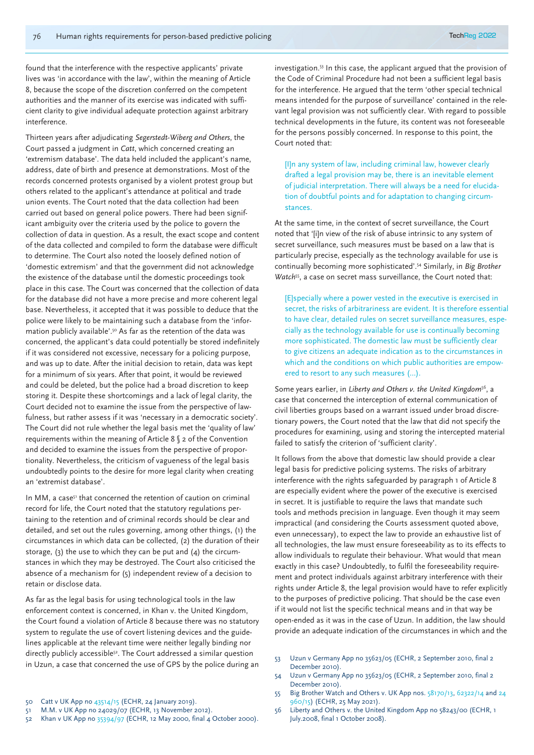found that the interference with the respective applicants' private lives was 'in accordance with the law', within the meaning of Article 8, because the scope of the discretion conferred on the competent authorities and the manner of its exercise was indicated with sufficient clarity to give individual adequate protection against arbitrary interference.

Thirteen years after adjudicating *Segerstedt-Wiberg and Others*, the Court passed a judgment in *Catt*, which concerned creating an 'extremism database'. The data held included the applicant's name, address, date of birth and presence at demonstrations. Most of the records concerned protests organised by a violent protest group but others related to the applicant's attendance at political and trade union events. The Court noted that the data collection had been carried out based on general police powers. There had been significant ambiguity over the criteria used by the police to govern the collection of data in question. As a result, the exact scope and content of the data collected and compiled to form the database were difficult to determine. The Court also noted the loosely defined notion of 'domestic extremism' and that the government did not acknowledge the existence of the database until the domestic proceedings took place in this case. The Court was concerned that the collection of data for the database did not have a more precise and more coherent legal base. Nevertheless, it accepted that it was possible to deduce that the police were likely to be maintaining such a database from the 'information publicly available'.50 As far as the retention of the data was concerned, the applicant's data could potentially be stored indefinitely if it was considered not excessive, necessary for a policing purpose, and was up to date. After the initial decision to retain, data was kept for a minimum of six years. After that point, it would be reviewed and could be deleted, but the police had a broad discretion to keep storing it. Despite these shortcomings and a lack of legal clarity, the Court decided not to examine the issue from the perspective of lawfulness, but rather assess if it was 'necessary in a democratic society'. The Court did not rule whether the legal basis met the 'quality of law' requirements within the meaning of Article 8 § 2 of the Convention and decided to examine the issues from the perspective of proportionality. Nevertheless, the criticism of vagueness of the legal basis undoubtedly points to the desire for more legal clarity when creating an 'extremist database'.

In MM, a case<sup>51</sup> that concerned the retention of caution on criminal record for life, the Court noted that the statutory regulations pertaining to the retention and of criminal records should be clear and detailed, and set out the rules governing, among other things, (1) the circumstances in which data can be collected, (2) the duration of their storage, (3) the use to which they can be put and  $(4)$  the circumstances in which they may be destroyed. The Court also criticised the absence of a mechanism for (5) independent review of a decision to retain or disclose data.

As far as the legal basis for using technological tools in the law enforcement context is concerned, in Khan v. the United Kingdom, the Court found a violation of Article 8 because there was no statutory system to regulate the use of covert listening devices and the guidelines applicable at the relevant time were neither legally binding nor directly publicly accessible<sup>52</sup>. The Court addressed a similar question in Uzun, a case that concerned the use of GPS by the police during an investigation.53 In this case, the applicant argued that the provision of the Code of Criminal Procedure had not been a sufficient legal basis for the interference. He argued that the term 'other special technical means intended for the purpose of surveillance' contained in the relevant legal provision was not sufficiently clear. With regard to possible technical developments in the future, its content was not foreseeable for the persons possibly concerned. In response to this point, the Court noted that:

[I]n any system of law, including criminal law, however clearly drafted a legal provision may be, there is an inevitable element of judicial interpretation. There will always be a need for elucidation of doubtful points and for adaptation to changing circumstances.

At the same time, in the context of secret surveillance, the Court noted that '[i]n view of the risk of abuse intrinsic to any system of secret surveillance, such measures must be based on a law that is particularly precise, especially as the technology available for use is continually becoming more sophisticated'.54 Similarly, in *Big Brother Watch*<sup>55</sup>, a case on secret mass surveillance, the Court noted that:

[E]specially where a power vested in the executive is exercised in secret, the risks of arbitrariness are evident. It is therefore essential to have clear, detailed rules on secret surveillance measures, especially as the technology available for use is continually becoming more sophisticated. The domestic law must be sufficiently clear to give citizens an adequate indication as to the circumstances in which and the conditions on which public authorities are empowered to resort to any such measures (…).

Some years earlier, in *Liberty and Others v. the United Kingdom*56, a case that concerned the interception of external communication of civil liberties groups based on a warrant issued under broad discretionary powers, the Court noted that the law that did not specify the procedures for examining, using and storing the intercepted material failed to satisfy the criterion of 'sufficient clarity'.

It follows from the above that domestic law should provide a clear legal basis for predictive policing systems. The risks of arbitrary interference with the rights safeguarded by paragraph 1 of Article 8 are especially evident where the power of the executive is exercised in secret. It is justifiable to require the laws that mandate such tools and methods precision in language. Even though it may seem impractical (and considering the Courts assessment quoted above, even unnecessary), to expect the law to provide an exhaustive list of all technologies, the law must ensure foreseeability as to its effects to allow individuals to regulate their behaviour. What would that mean exactly in this case? Undoubtedly, to fulfil the foreseeability requirement and protect individuals against arbitrary interference with their rights under Article 8, the legal provision would have to refer explicitly to the purposes of predictive policing. That should be the case even if it would not list the specific technical means and in that way be open-ended as it was in the case of Uzun. In addition, the law should provide an adequate indication of the circumstances in which and the

- 53 Uzun v Germany App no 35623/05 (ECHR, 2 September 2010, final 2 December 2010).
- 54 Uzun v Germany App no 35623/05 (ECHR, 2 September 2010, final 2 December 2010).
- 55 Big Brother Watch and Others v. UK App nos. 58170/13, 62322/14 and 24 960/15) (ECHR, 25 May 2021).
- 56 Liberty and Others v. the United Kingdom App no 58243/00 (ECHR, 1 July.2008, final 1 October 2008).
- 50 Catt v UK App no 43514/15 (ECHR, 24 January 2019).
- 51 M.M. v UK App no 24029/07 (ECHR, 13 November 2012).
- 52 Khan v UK App no 35394/97 (ECHR, 12 May 2000, final 4 October 2000).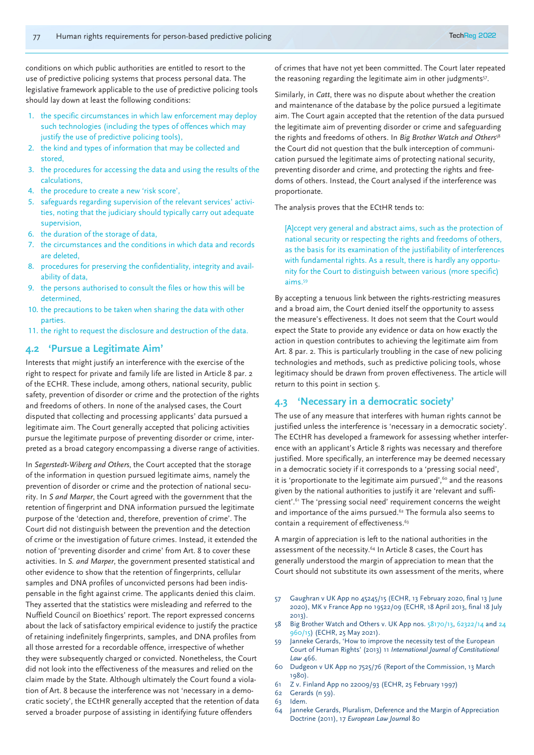conditions on which public authorities are entitled to resort to the use of predictive policing systems that process personal data. The legislative framework applicable to the use of predictive policing tools should lay down at least the following conditions:

- 1. the specific circumstances in which law enforcement may deploy such technologies (including the types of offences which may justify the use of predictive policing tools),
- 2. the kind and types of information that may be collected and stored,
- 3. the procedures for accessing the data and using the results of the calculations,
- 4. the procedure to create a new 'risk score',
- 5. safeguards regarding supervision of the relevant services' activities, noting that the judiciary should typically carry out adequate supervision,
- 6. the duration of the storage of data,
- 7. the circumstances and the conditions in which data and records are deleted,
- 8. procedures for preserving the confidentiality, integrity and availability of data,
- 9. the persons authorised to consult the files or how this will be determined,
- 10. the precautions to be taken when sharing the data with other parties.
- 11. the right to request the disclosure and destruction of the data.

## **4.2 'Pursue a Legitimate Aim'**

Interests that might justify an interference with the exercise of the right to respect for private and family life are listed in Article 8 par. 2 of the ECHR. These include, among others, national security, public safety, prevention of disorder or crime and the protection of the rights and freedoms of others. In none of the analysed cases, the Court disputed that collecting and processing applicants' data pursued a legitimate aim. The Court generally accepted that policing activities pursue the legitimate purpose of preventing disorder or crime, interpreted as a broad category encompassing a diverse range of activities.

In *Segerstedt-Wiberg and Others*, the Court accepted that the storage of the information in question pursued legitimate aims, namely the prevention of disorder or crime and the protection of national security. In *S and Marper*, the Court agreed with the government that the retention of fingerprint and DNA information pursued the legitimate purpose of the 'detection and, therefore, prevention of crime'. The Court did not distinguish between the prevention and the detection of crime or the investigation of future crimes. Instead, it extended the notion of 'preventing disorder and crime' from Art. 8 to cover these activities. In *S. and Marper*, the government presented statistical and other evidence to show that the retention of fingerprints, cellular samples and DNA profiles of unconvicted persons had been indispensable in the fight against crime. The applicants denied this claim. They asserted that the statistics were misleading and referred to the Nuffield Council on Bioethics' report. The report expressed concerns about the lack of satisfactory empirical evidence to justify the practice of retaining indefinitely fingerprints, samples, and DNA profiles from all those arrested for a recordable offence, irrespective of whether they were subsequently charged or convicted. Nonetheless, the Court did not look into the effectiveness of the measures and relied on the claim made by the State. Although ultimately the Court found a violation of Art. 8 because the interference was not 'necessary in a democratic society', the ECtHR generally accepted that the retention of data served a broader purpose of assisting in identifying future offenders

of crimes that have not yet been committed. The Court later repeated the reasoning regarding the legitimate aim in other judgments<sup>57</sup>.

Similarly, in *Catt*, there was no dispute about whether the creation and maintenance of the database by the police pursued a legitimate aim. The Court again accepted that the retention of the data pursued the legitimate aim of preventing disorder or crime and safeguarding the rights and freedoms of others. In *Big Brother Watch and Others*<sup>58</sup> the Court did not question that the bulk interception of communication pursued the legitimate aims of protecting national security, preventing disorder and crime, and protecting the rights and freedoms of others. Instead, the Court analysed if the interference was proportionate.

The analysis proves that the ECtHR tends to:

[A]ccept very general and abstract aims, such as the protection of national security or respecting the rights and freedoms of others, as the basis for its examination of the justifiability of interferences with fundamental rights. As a result, there is hardly any opportunity for the Court to distinguish between various (more specific) aims.59

By accepting a tenuous link between the rights-restricting measures and a broad aim, the Court denied itself the opportunity to assess the measure's effectiveness. It does not seem that the Court would expect the State to provide any evidence or data on how exactly the action in question contributes to achieving the legitimate aim from Art. 8 par. 2. This is particularly troubling in the case of new policing technologies and methods, such as predictive policing tools, whose legitimacy should be drawn from proven effectiveness. The article will return to this point in section 5.

## **4.3 'Necessary in a democratic society'**

The use of any measure that interferes with human rights cannot be justified unless the interference is 'necessary in a democratic society'. The ECtHR has developed a framework for assessing whether interference with an applicant's Article 8 rights was necessary and therefore justified. More specifically, an interference may be deemed necessary in a democratic society if it corresponds to a 'pressing social need', it is 'proportionate to the legitimate aim pursued', $60$  and the reasons given by the national authorities to justify it are 'relevant and sufficient'.61 The 'pressing social need' requirement concerns the weight and importance of the aims pursued.<sup>62</sup> The formula also seems to contain a requirement of effectiveness.<sup>63</sup>

A margin of appreciation is left to the national authorities in the assessment of the necessity.<sup>64</sup> In Article 8 cases, the Court has generally understood the margin of appreciation to mean that the Court should not substitute its own assessment of the merits, where

- 57 Gaughran v UK App no 45245/15 (ECHR, 13 February 2020, final 13 June 2020), MK v France App no 19522/09 (ECHR, 18 April 2013, final 18 July 2013).
- 58 Big Brother Watch and Others v. UK App nos.  $58170/13$ ,  $62322/14$  and 24 960/15) (ECHR, 25 May 2021).
- 59 Janneke Gerards, 'How to improve the necessity test of the European Court of Human Rights' (2013) 11 *International Journal of Constitutional Law* 466.
- 60 Dudgeon v UK App no 7525/76 (Report of the Commission, 13 March 1980).
- 61 Z v. Finland App no 22009/93 (ECHR, 25 February 1997)
- 62 Gerards (n 59).
- 63 Idem.
- 64 Janneke Gerards, Pluralism, Deference and the Margin of Appreciation Doctrine (2011), 17 *European Law Journa*l 80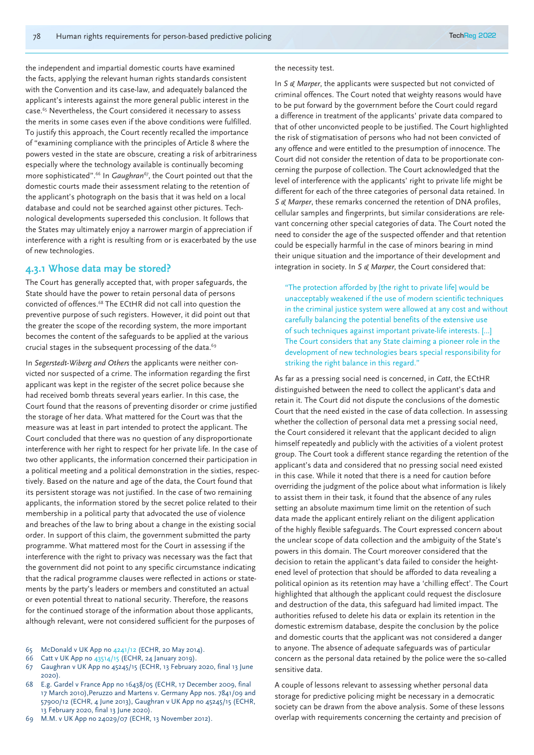the independent and impartial domestic courts have examined the facts, applying the relevant human rights standards consistent with the Convention and its case-law, and adequately balanced the applicant's interests against the more general public interest in the case.65 Nevertheless, the Court considered it necessary to assess the merits in some cases even if the above conditions were fulfilled. To justify this approach, the Court recently recalled the importance of "examining compliance with the principles of Article 8 where the powers vested in the state are obscure, creating a risk of arbitrariness especially where the technology available is continually becoming more sophisticated".<sup>66</sup> In *Gaughran<sup>67</sup>*, the Court pointed out that the domestic courts made their assessment relating to the retention of the applicant's photograph on the basis that it was held on a local database and could not be searched against other pictures. Technological developments superseded this conclusion. It follows that the States may ultimately enjoy a narrower margin of appreciation if interference with a right is resulting from or is exacerbated by the use of new technologies.

## **4.3.1 Whose data may be stored?**

The Court has generally accepted that, with proper safeguards, the State should have the power to retain personal data of persons convicted of offences.68 The ECtHR did not call into question the preventive purpose of such registers. However, it did point out that the greater the scope of the recording system, the more important becomes the content of the safeguards to be applied at the various crucial stages in the subsequent processing of the data.<sup>69</sup>

In *Segerstedt-Wiberg and Others* the applicants were neither convicted nor suspected of a crime. The information regarding the first applicant was kept in the register of the secret police because she had received bomb threats several years earlier. In this case, the Court found that the reasons of preventing disorder or crime justified the storage of her data. What mattered for the Court was that the measure was at least in part intended to protect the applicant. The Court concluded that there was no question of any disproportionate interference with her right to respect for her private life. In the case of two other applicants, the information concerned their participation in a political meeting and a political demonstration in the sixties, respectively. Based on the nature and age of the data, the Court found that its persistent storage was not justified. In the case of two remaining applicants, the information stored by the secret police related to their membership in a political party that advocated the use of violence and breaches of the law to bring about a change in the existing social order. In support of this claim, the government submitted the party programme. What mattered most for the Court in assessing if the interference with the right to privacy was necessary was the fact that the government did not point to any specific circumstance indicating that the radical programme clauses were reflected in actions or statements by the party's leaders or members and constituted an actual or even potential threat to national security. Therefore, the reasons for the continued storage of the information about those applicants, although relevant, were not considered sufficient for the purposes of

- 65 McDonald v UK App no 4241/12 (ECHR, 20 May 2014).
- 66 Catt v UK App no 43514/15 (ECHR, 24 January 2019).
- 67 Gaughran v UK App no 45245/15 (ECHR, 13 February 2020, final 13 June 2020).
- 68 E.g. Gardel v France App no 16438/05 (ECHR, 17 December 2009, final 17 March 2010),Peruzzo and Martens v. Germany App nos. 7841/09 and 57900/12 (ECHR, 4 June 2013), Gaughran v UK App no 45245/15 (ECHR, 13 February 2020, final 13 June 2020).
- 69 M.M. v UK App no 24029/07 (ECHR, 13 November 2012).

#### the necessity test.

In *S & Marper*, the applicants were suspected but not convicted of criminal offences. The Court noted that weighty reasons would have to be put forward by the government before the Court could regard a difference in treatment of the applicants' private data compared to that of other unconvicted people to be justified. The Court highlighted the risk of stigmatisation of persons who had not been convicted of any offence and were entitled to the presumption of innocence. The Court did not consider the retention of data to be proportionate concerning the purpose of collection. The Court acknowledged that the level of interference with the applicants' right to private life might be different for each of the three categories of personal data retained. In *S & Marper*, these remarks concerned the retention of DNA profiles, cellular samples and fingerprints, but similar considerations are relevant concerning other special categories of data. The Court noted the need to consider the age of the suspected offender and that retention could be especially harmful in the case of minors bearing in mind their unique situation and the importance of their development and integration in society. In *S & Marper*, the Court considered that:

"The protection afforded by [the right to private life] would be unacceptably weakened if the use of modern scientific techniques in the criminal justice system were allowed at any cost and without carefully balancing the potential benefits of the extensive use of such techniques against important private-life interests. [...] The Court considers that any State claiming a pioneer role in the development of new technologies bears special responsibility for striking the right balance in this regard."

As far as a pressing social need is concerned, in *Catt*, the ECtHR distinguished between the need to collect the applicant's data and retain it. The Court did not dispute the conclusions of the domestic Court that the need existed in the case of data collection. In assessing whether the collection of personal data met a pressing social need, the Court considered it relevant that the applicant decided to align himself repeatedly and publicly with the activities of a violent protest group. The Court took a different stance regarding the retention of the applicant's data and considered that no pressing social need existed in this case. While it noted that there is a need for caution before overriding the judgment of the police about what information is likely to assist them in their task, it found that the absence of any rules setting an absolute maximum time limit on the retention of such data made the applicant entirely reliant on the diligent application of the highly flexible safeguards. The Court expressed concern about the unclear scope of data collection and the ambiguity of the State's powers in this domain. The Court moreover considered that the decision to retain the applicant's data failed to consider the heightened level of protection that should be afforded to data revealing a political opinion as its retention may have a 'chilling effect'. The Court highlighted that although the applicant could request the disclosure and destruction of the data, this safeguard had limited impact. The authorities refused to delete his data or explain its retention in the domestic extremism database, despite the conclusion by the police and domestic courts that the applicant was not considered a danger to anyone. The absence of adequate safeguards was of particular concern as the personal data retained by the police were the so-called sensitive data.

A couple of lessons relevant to assessing whether personal data storage for predictive policing might be necessary in a democratic society can be drawn from the above analysis. Some of these lessons overlap with requirements concerning the certainty and precision of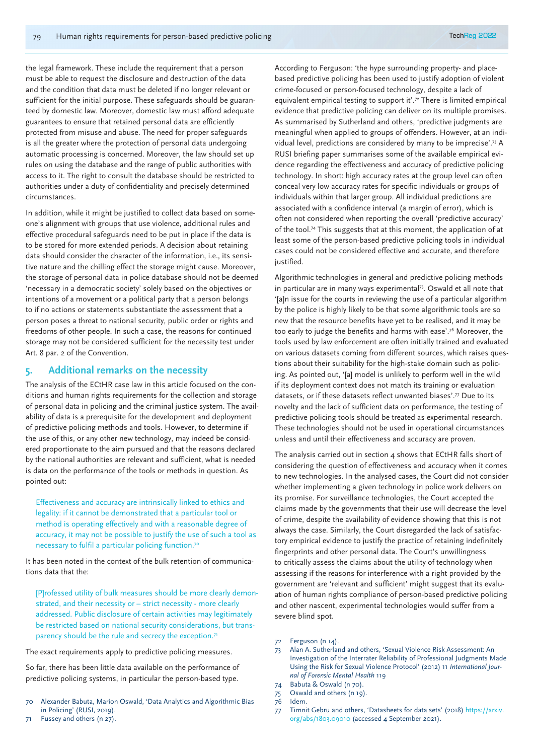the legal framework. These include the requirement that a person must be able to request the disclosure and destruction of the data and the condition that data must be deleted if no longer relevant or sufficient for the initial purpose. These safeguards should be guaranteed by domestic law. Moreover, domestic law must afford adequate guarantees to ensure that retained personal data are efficiently protected from misuse and abuse. The need for proper safeguards is all the greater where the protection of personal data undergoing automatic processing is concerned. Moreover, the law should set up rules on using the database and the range of public authorities with access to it. The right to consult the database should be restricted to authorities under a duty of confidentiality and precisely determined circumstances.

In addition, while it might be justified to collect data based on someone's alignment with groups that use violence, additional rules and effective procedural safeguards need to be put in place if the data is to be stored for more extended periods. A decision about retaining data should consider the character of the information, i.e., its sensitive nature and the chilling effect the storage might cause. Moreover, the storage of personal data in police database should not be deemed 'necessary in a democratic society' solely based on the objectives or intentions of a movement or a political party that a person belongs to if no actions or statements substantiate the assessment that a person poses a threat to national security, public order or rights and freedoms of other people. In such a case, the reasons for continued storage may not be considered sufficient for the necessity test under Art. 8 par. 2 of the Convention.

## **5. Additional remarks on the necessity**

The analysis of the ECtHR case law in this article focused on the conditions and human rights requirements for the collection and storage of personal data in policing and the criminal justice system. The availability of data is a prerequisite for the development and deployment of predictive policing methods and tools. However, to determine if the use of this, or any other new technology, may indeed be considered proportionate to the aim pursued and that the reasons declared by the national authorities are relevant and sufficient, what is needed is data on the performance of the tools or methods in question. As pointed out:

Effectiveness and accuracy are intrinsically linked to ethics and legality: if it cannot be demonstrated that a particular tool or method is operating effectively and with a reasonable degree of accuracy, it may not be possible to justify the use of such a tool as necessary to fulfil a particular policing function.70

It has been noted in the context of the bulk retention of communications data that the:

[P]rofessed utility of bulk measures should be more clearly demonstrated, and their necessity or – strict necessity - more clearly addressed. Public disclosure of certain activities may legitimately be restricted based on national security considerations, but transparency should be the rule and secrecy the exception.<sup>71</sup>

The exact requirements apply to predictive policing measures.

So far, there has been little data available on the performance of predictive policing systems, in particular the person-based type.

- Alexander Babuta, Marion Oswald, 'Data Analytics and Algorithmic Bias in Policing' (RUSI, 2019).
- 71 Fussey and others (n 27).

According to Ferguson: 'the hype surrounding property- and placebased predictive policing has been used to justify adoption of violent crime-focused or person-focused technology, despite a lack of equivalent empirical testing to support it'.72 There is limited empirical evidence that predictive policing can deliver on its multiple promises. As summarised by Sutherland and others, 'predictive judgments are meaningful when applied to groups of offenders. However, at an individual level, predictions are considered by many to be imprecise'.73 A RUSI briefing paper summarises some of the available empirical evidence regarding the effectiveness and accuracy of predictive policing technology. In short: high accuracy rates at the group level can often conceal very low accuracy rates for specific individuals or groups of individuals within that larger group. All individual predictions are associated with a confidence interval (a margin of error), which is often not considered when reporting the overall 'predictive accuracy' of the tool.74 This suggests that at this moment, the application of at least some of the person-based predictive policing tools in individual cases could not be considered effective and accurate, and therefore justified.

Algorithmic technologies in general and predictive policing methods in particular are in many ways experimental<sup>75</sup>. Oswald et all note that '[a]n issue for the courts in reviewing the use of a particular algorithm by the police is highly likely to be that some algorithmic tools are so new that the resource benefits have yet to be realised, and it may be too early to judge the benefits and harms with ease'.76 Moreover, the tools used by law enforcement are often initially trained and evaluated on various datasets coming from different sources, which raises questions about their suitability for the high-stake domain such as policing. As pointed out, '[a] model is unlikely to perform well in the wild if its deployment context does not match its training or evaluation datasets, or if these datasets reflect unwanted biases'.77 Due to its novelty and the lack of sufficient data on performance, the testing of predictive policing tools should be treated as experimental research. These technologies should not be used in operational circumstances unless and until their effectiveness and accuracy are proven.

The analysis carried out in section 4 shows that ECtHR falls short of considering the question of effectiveness and accuracy when it comes to new technologies. In the analysed cases, the Court did not consider whether implementing a given technology in police work delivers on its promise. For surveillance technologies, the Court accepted the claims made by the governments that their use will decrease the level of crime, despite the availability of evidence showing that this is not always the case. Similarly, the Court disregarded the lack of satisfactory empirical evidence to justify the practice of retaining indefinitely fingerprints and other personal data. The Court's unwillingness to critically assess the claims about the utility of technology when assessing if the reasons for interference with a right provided by the government are 'relevant and sufficient' might suggest that its evaluation of human rights compliance of person-based predictive policing and other nascent, experimental technologies would suffer from a severe blind spot.

- 73 Alan A. Sutherland and others, 'Sexual Violence Risk Assessment: An Investigation of the Interrater Reliability of Professional Judgments Made Using the Risk for Sexual Violence Protocol' (2012) 11 *International Journal of Forensic Mental Health* 119
- 74 Babuta & Oswald (n 70).

77 Timnit Gebru and others, 'Datasheets for data sets' (2018) https://arxiv. org/abs/1803.09010 (accessed 4 September 2021).

<sup>72</sup> Ferguson (n 14).

<sup>75</sup> Oswald and others (n 19).

<sup>76</sup> Idem.